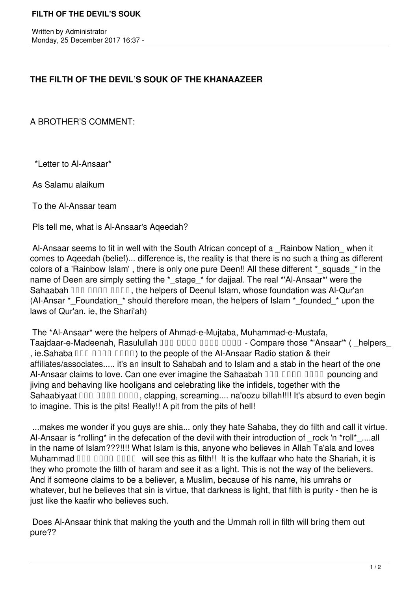## **THE FILTH OF THE DEVIL'S SOUK OF THE KHANAAZEER**

## A BROTHER'S COMMENT:

\*Letter to Al-Ansaar\*

As Salamu alaikum

To the Al-Ansaar team

Pls tell me, what is Al-Ansaar's Aqeedah?

Al-Ansaar seems to fit in well with the South African concept of a \_Rainbow Nation \_ when it comes to Aqeedah (belief)... difference is, the reality is that there is no such a thing as different colors of a 'Rainbow Islam', there is only one pure Deen!! All these different \* squads \* in the name of Deen are simply setting the \* stage \* for dajjaal. The real \*'Al-Ansaar\*' were the Sahaabah DDD DDDD, the helpers of Deenul Islam, whose foundation was Al-Qur'an (Al-Ansar \* Foundation \* should therefore mean, the helpers of Islam \* founded \* upon the laws of Qur'an, ie, the Shari'ah)

 The \*Al-Ansaar\* were the helpers of Ahmad-e-Mujtaba, Muhammad-e-Mustafa, Taajdaar-e-Madeenah, Rasulullah DDD DDDD DDDD - Compare those \*'Ansaar'\* ( \_helpers , ie. Sahaba  $\Box$  $\Box$   $\Box$  $\Box$  $\Box$  $\Box$  to the people of the Al-Ansaar Radio station & their affiliates/associates..... it's an insult to Sahabah and to Islam and a stab in the heart of the one Al-Ansaar claims to love. Can one ever imagine the Sahaabah DDD DDDD DDDD pouncing and jiving and behaving like hooligans and celebrating like the infidels, together with the Sahaabiyaat DDD DDDD, clapping, screaming.... na'oozu billah!!!! It's absurd to even begin to imagine. This is the pits! Really!! A pit from the pits of hell!

 ...makes me wonder if you guys are shia... only they hate Sahaba, they do filth and call it virtue. Al-Ansaar is \*rolling\* in the defecation of the devil with their introduction of rock 'n \*roll\* ....all in the name of Islam???!!!! What Islam is this, anyone who believes in Allah Ta'ala and loves Muhammad  $\Box \Box \Box \Box \Box \Box \Box \Box \Box$  will see this as filth!! It is the kuffaar who hate the Shariah, it is they who promote the filth of haram and see it as a light. This is not the way of the believers. And if someone claims to be a believer, a Muslim, because of his name, his umrahs or whatever, but he believes that sin is virtue, that darkness is light, that filth is purity - then he is just like the kaafir who believes such.

 Does Al-Ansaar think that making the youth and the Ummah roll in filth will bring them out pure??